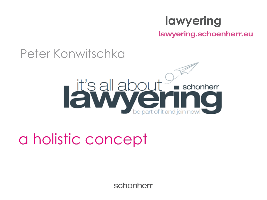## **lawyering**

lawyering.schoenherr.eu

### Peter Konwitschka



## a holistic concept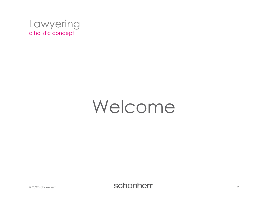

# Welcome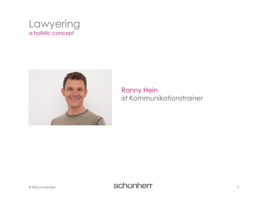



#### **Ronny Hein** ist Kommunikationstrainer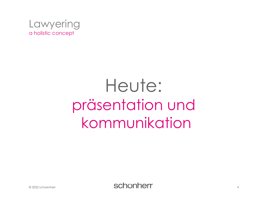

# Heute: präsentation und kommunikation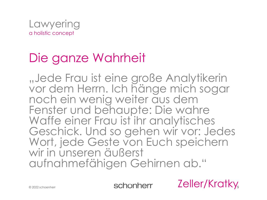

## Die ganze Wahrheit

"Jede Frau ist eine große Analytikerin vor dem Herrn. Ich hänge mich sogar noch ein wenig weiter aus dem Fenster und behaupte: Die wahre Waffe einer Frau ist ihr analytisches Geschick. Und so gehen wir vor: Jedes Wort, jede Geste von Euch speichern wir in unseren äußerst aufnahmefähigen Gehirnen ab."

schonherr

Zeller/Kratky<sub>s</sub>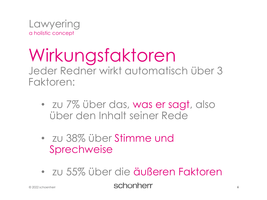

## Wirkungsfaktoren Jeder Redner wirkt automatisch über 3 Faktoren:

- zu 7% über das, was er sagt, also über den Inhalt seiner Rede
- zu 38% über Stimme und Sprechweise
- zu 55% über die äußeren Faktoren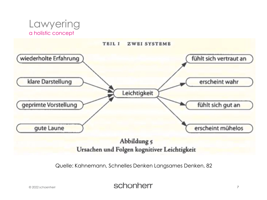



Ursachen und Folgen kognitiver Leichtigkeit

Quelle: Kahnemann, Schnelles Denken Langsames Denken, 82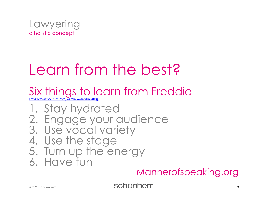

# Learn from the best?

## Six things to learn from Freddie

<https://www.youtube.com/watch?v=vbvyNnw8Qjg>

1. Stay hydrated 2. Engage your audience 3. Use vocal variety 4. Use the stage 5. Turn up the energy 6. Have fun

#### Mannerofspeaking.org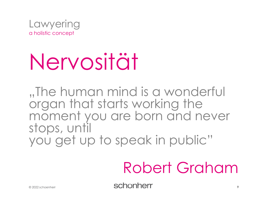

# Nervosität

"The human mind is a wonderful organ that starts working the moment you are born and never stops, until you get up to speak in public"

# Robert Graham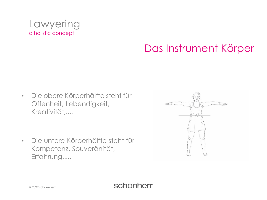

### Das Instrument Körper

Die obere Körperhälfte steht für  $\bullet$ Offenheit, Lebendigkeit, Kreativität....

Die untere Körperhälfte steht für  $\bullet$ Kompetenz, Souveränität, Erfahrung,....

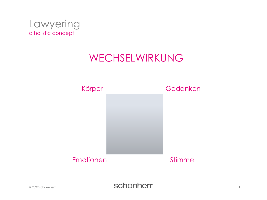

#### WECHSELWIRKUNG